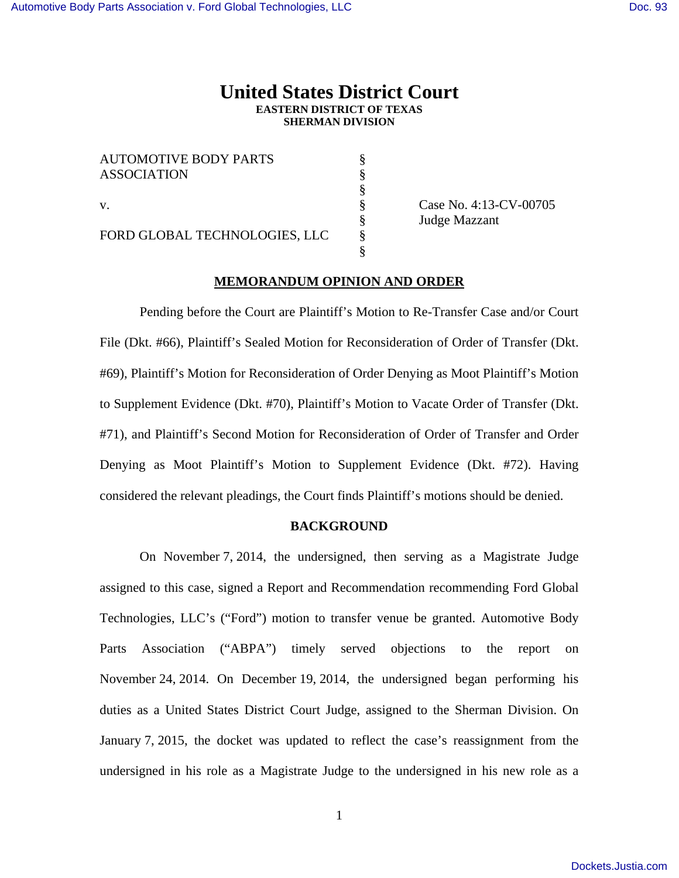# **United States District Court EASTERN DISTRICT OF TEXAS SHERMAN DIVISION**

| <b>AUTOMOTIVE BODY PARTS</b><br><b>ASSOCIATION</b> |  |
|----------------------------------------------------|--|
| $\mathbf{V}$ .                                     |  |
| FORD GLOBAL TECHNOLOGIES, LLC                      |  |

§<br>
§ Case No. 4:13-CV-00705<br>
§ Judge Mazzant<br>
§ Judge Mazzant

# **MEMORANDUM OPINION AND ORDER**

 Pending before the Court are Plaintiff's Motion to Re-Transfer Case and/or Court File (Dkt. #66), Plaintiff's Sealed Motion for Reconsideration of Order of Transfer (Dkt. #69), Plaintiff's Motion for Reconsideration of Order Denying as Moot Plaintiff's Motion to Supplement Evidence (Dkt. #70), Plaintiff's Motion to Vacate Order of Transfer (Dkt. #71), and Plaintiff's Second Motion for Reconsideration of Order of Transfer and Order Denying as Moot Plaintiff's Motion to Supplement Evidence (Dkt. #72). Having considered the relevant pleadings, the Court finds Plaintiff's motions should be denied.

#### **BACKGROUND**

On November 7, 2014, the undersigned, then serving as a Magistrate Judge assigned to this case, signed a Report and Recommendation recommending Ford Global Technologies, LLC's ("Ford") motion to transfer venue be granted. Automotive Body Parts Association ("ABPA") timely served objections to the report on November 24, 2014. On December 19, 2014, the undersigned began performing his duties as a United States District Court Judge, assigned to the Sherman Division. On January 7, 2015, the docket was updated to reflect the case's reassignment from the undersigned in his role as a Magistrate Judge to the undersigned in his new role as a

1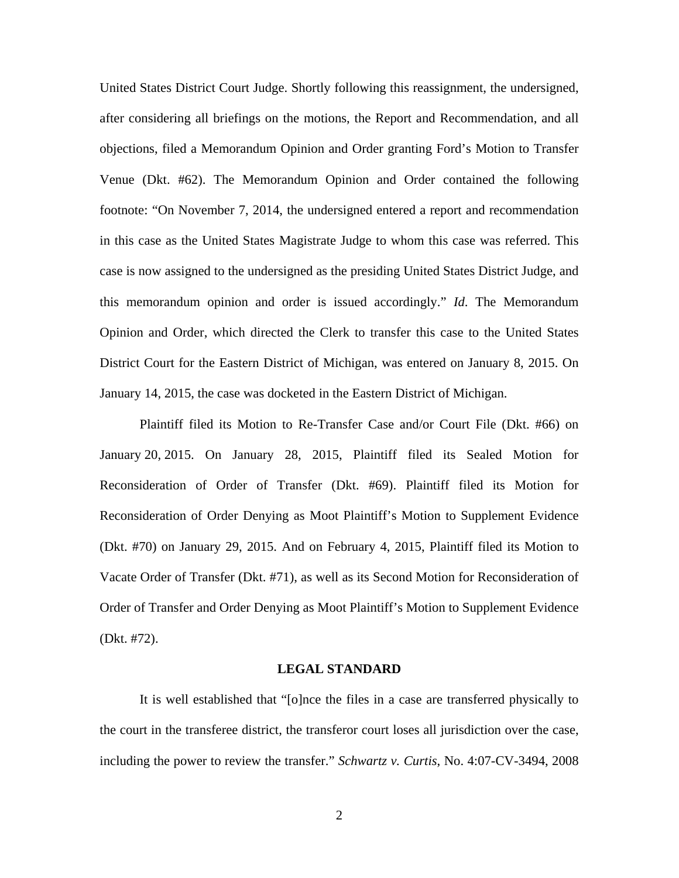United States District Court Judge. Shortly following this reassignment, the undersigned, after considering all briefings on the motions, the Report and Recommendation, and all objections, filed a Memorandum Opinion and Order granting Ford's Motion to Transfer Venue (Dkt. #62). The Memorandum Opinion and Order contained the following footnote: "On November 7, 2014, the undersigned entered a report and recommendation in this case as the United States Magistrate Judge to whom this case was referred. This case is now assigned to the undersigned as the presiding United States District Judge, and this memorandum opinion and order is issued accordingly." *Id*. The Memorandum Opinion and Order, which directed the Clerk to transfer this case to the United States District Court for the Eastern District of Michigan, was entered on January 8, 2015. On January 14, 2015, the case was docketed in the Eastern District of Michigan.

Plaintiff filed its Motion to Re-Transfer Case and/or Court File (Dkt. #66) on January 20, 2015. On January 28, 2015, Plaintiff filed its Sealed Motion for Reconsideration of Order of Transfer (Dkt. #69). Plaintiff filed its Motion for Reconsideration of Order Denying as Moot Plaintiff's Motion to Supplement Evidence (Dkt. #70) on January 29, 2015. And on February 4, 2015, Plaintiff filed its Motion to Vacate Order of Transfer (Dkt. #71), as well as its Second Motion for Reconsideration of Order of Transfer and Order Denying as Moot Plaintiff's Motion to Supplement Evidence (Dkt. #72).

### **LEGAL STANDARD**

It is well established that "[o]nce the files in a case are transferred physically to the court in the transferee district, the transferor court loses all jurisdiction over the case, including the power to review the transfer." *Schwartz v. Curtis*, No. 4:07-CV-3494, 2008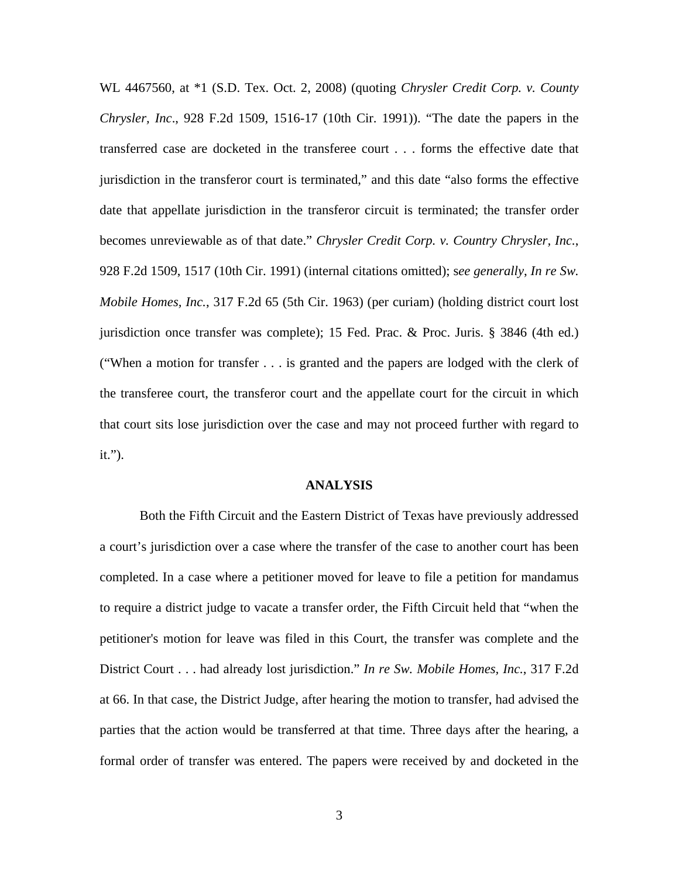WL 4467560, at \*1 (S.D. Tex. Oct. 2, 2008) (quoting *Chrysler Credit Corp. v. County Chrysler, Inc*., 928 F.2d 1509, 1516-17 (10th Cir. 1991)). "The date the papers in the transferred case are docketed in the transferee court . . . forms the effective date that jurisdiction in the transferor court is terminated," and this date "also forms the effective date that appellate jurisdiction in the transferor circuit is terminated; the transfer order becomes unreviewable as of that date." *Chrysler Credit Corp. v. Country Chrysler, Inc.*, 928 F.2d 1509, 1517 (10th Cir. 1991) (internal citations omitted); s*ee generally*, *In re Sw. Mobile Homes, Inc.*, 317 F.2d 65 (5th Cir. 1963) (per curiam) (holding district court lost jurisdiction once transfer was complete); 15 Fed. Prac. & Proc. Juris. § 3846 (4th ed.) ("When a motion for transfer . . . is granted and the papers are lodged with the clerk of the transferee court, the transferor court and the appellate court for the circuit in which that court sits lose jurisdiction over the case and may not proceed further with regard to it.").

## **ANALYSIS**

Both the Fifth Circuit and the Eastern District of Texas have previously addressed a court's jurisdiction over a case where the transfer of the case to another court has been completed. In a case where a petitioner moved for leave to file a petition for mandamus to require a district judge to vacate a transfer order, the Fifth Circuit held that "when the petitioner's motion for leave was filed in this Court, the transfer was complete and the District Court . . . had already lost jurisdiction." *In re Sw. Mobile Homes, Inc.*, 317 F.2d at 66. In that case, the District Judge, after hearing the motion to transfer, had advised the parties that the action would be transferred at that time. Three days after the hearing, a formal order of transfer was entered. The papers were received by and docketed in the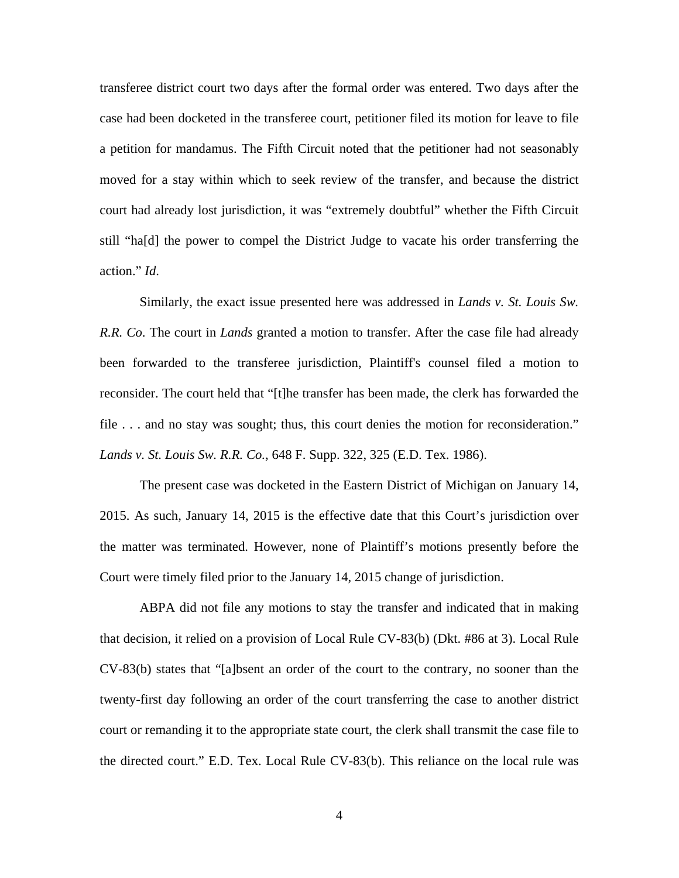transferee district court two days after the formal order was entered. Two days after the case had been docketed in the transferee court, petitioner filed its motion for leave to file a petition for mandamus. The Fifth Circuit noted that the petitioner had not seasonably moved for a stay within which to seek review of the transfer, and because the district court had already lost jurisdiction, it was "extremely doubtful" whether the Fifth Circuit still "ha[d] the power to compel the District Judge to vacate his order transferring the action." *Id*.

Similarly, the exact issue presented here was addressed in *Lands v. St. Louis Sw. R.R. Co*. The court in *Lands* granted a motion to transfer. After the case file had already been forwarded to the transferee jurisdiction, Plaintiff's counsel filed a motion to reconsider. The court held that "[t]he transfer has been made, the clerk has forwarded the file . . . and no stay was sought; thus, this court denies the motion for reconsideration." *Lands v. St. Louis Sw. R.R. Co.*, 648 F. Supp. 322, 325 (E.D. Tex. 1986).

The present case was docketed in the Eastern District of Michigan on January 14, 2015. As such, January 14, 2015 is the effective date that this Court's jurisdiction over the matter was terminated. However, none of Plaintiff's motions presently before the Court were timely filed prior to the January 14, 2015 change of jurisdiction.

ABPA did not file any motions to stay the transfer and indicated that in making that decision, it relied on a provision of Local Rule CV-83(b) (Dkt. #86 at 3). Local Rule CV-83(b) states that "[a]bsent an order of the court to the contrary, no sooner than the twenty-first day following an order of the court transferring the case to another district court or remanding it to the appropriate state court, the clerk shall transmit the case file to the directed court." E.D. Tex. Local Rule CV-83(b). This reliance on the local rule was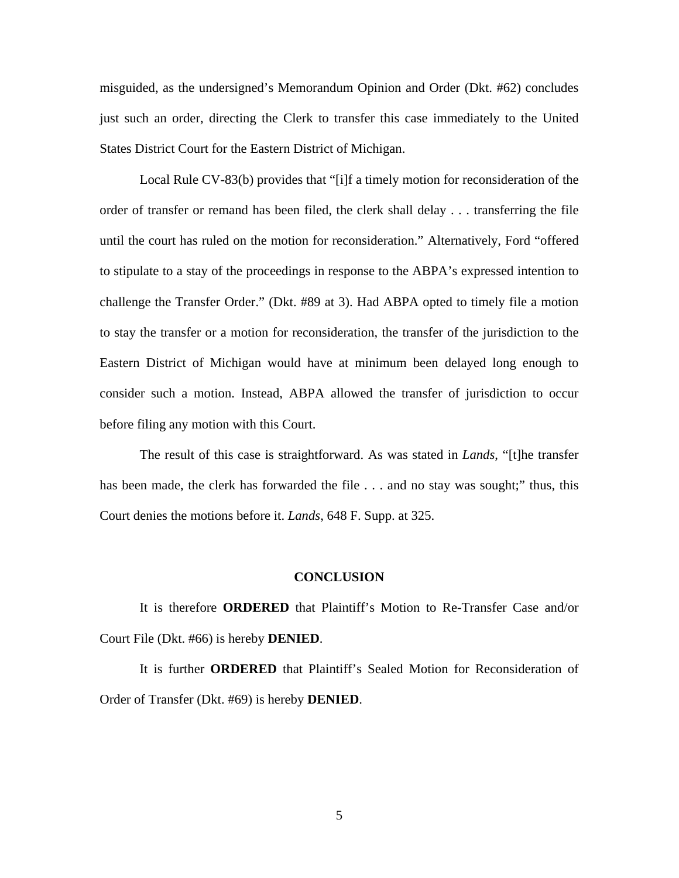misguided, as the undersigned's Memorandum Opinion and Order (Dkt. #62) concludes just such an order, directing the Clerk to transfer this case immediately to the United States District Court for the Eastern District of Michigan.

Local Rule CV-83(b) provides that "[i]f a timely motion for reconsideration of the order of transfer or remand has been filed, the clerk shall delay . . . transferring the file until the court has ruled on the motion for reconsideration." Alternatively, Ford "offered to stipulate to a stay of the proceedings in response to the ABPA's expressed intention to challenge the Transfer Order." (Dkt. #89 at 3). Had ABPA opted to timely file a motion to stay the transfer or a motion for reconsideration, the transfer of the jurisdiction to the Eastern District of Michigan would have at minimum been delayed long enough to consider such a motion. Instead, ABPA allowed the transfer of jurisdiction to occur before filing any motion with this Court.

The result of this case is straightforward. As was stated in *Lands*, "[t]he transfer has been made, the clerk has forwarded the file . . . and no stay was sought;" thus, this Court denies the motions before it. *Lands*, 648 F. Supp. at 325.

#### **CONCLUSION**

 It is therefore **ORDERED** that Plaintiff's Motion to Re-Transfer Case and/or Court File (Dkt. #66) is hereby **DENIED**.

 It is further **ORDERED** that Plaintiff's Sealed Motion for Reconsideration of Order of Transfer (Dkt. #69) is hereby **DENIED**.